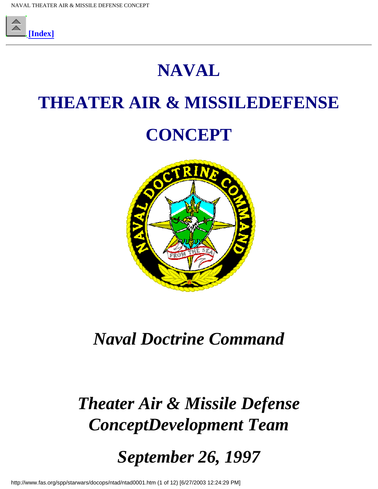

## **NAVAL**

## **THEATER AIR & MISSILEDEFENSE**

## **CONCEPT**



## *Naval Doctrine Command*

# *Theater Air & Missile Defense ConceptDevelopment Team*

*September 26, 1997*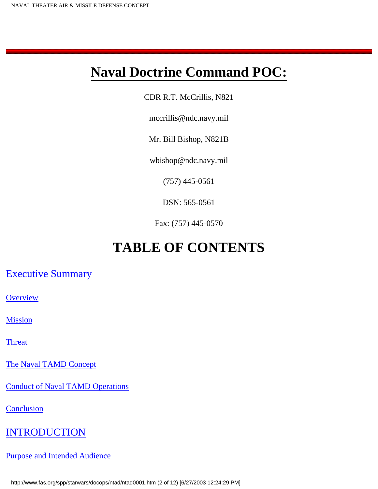### **Naval Doctrine Command POC:**

CDR R.T. McCrillis, N821

mccrillis@ndc.navy.mil

Mr. Bill Bishop, N821B

wbishop@ndc.navy.mil

(757) 445-0561

DSN: 565-0561

Fax: (757) 445-0570

### **TABLE OF CONTENTS**

[Executive Summary](#page-6-0)

**[Overview](#page-6-1)** 

**[Mission](#page-6-2)** 

**[Threat](#page-6-3)** 

[The Naval TAMD Concept](#page-7-0)

[Conduct of Naval TAMD Operations](#page-8-0)

**[Conclusion](#page-9-0)** 

#### **[INTRODUCTION](#page-10-0)**

[Purpose and Intended Audience](#page-10-1)

http://www.fas.org/spp/starwars/docops/ntad/ntad0001.htm (2 of 12) [6/27/2003 12:24:29 PM]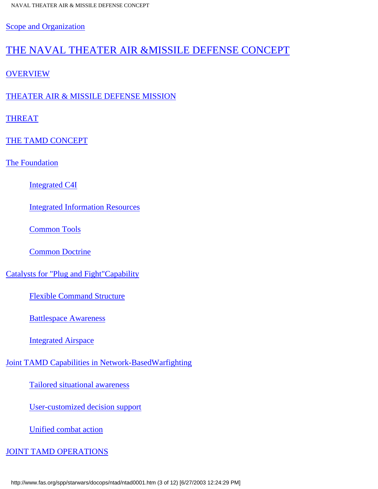[Scope and Organization](#page-10-2)

### [THE NAVAL THEATER AIR &MISSILE DEFENSE CONCEPT](http://www.fas.org/spp/starwars/docops/ntad/tamdnew2.htm#THEATER)

[OVERVIEW](http://www.fas.org/spp/starwars/docops/ntad/tamdnew2.htm#THOVER)

[THEATER AIR & MISSILE DEFENSE MISSION](http://www.fas.org/spp/starwars/docops/ntad/tamdnew2.htm#TAMDMIS)

**[THREAT](http://www.fas.org/spp/starwars/docops/ntad/tamdnew2.htm#threat2)** 

[THE TAMD CONCEPT](http://www.fas.org/spp/starwars/docops/ntad/tamdnew2.htm#tamdconc)

[The Foundation](http://www.fas.org/spp/starwars/docops/ntad/tamdnew2.htm#foundation)

[Integrated C4I](http://www.fas.org/spp/starwars/docops/ntad/tamdnew2.htm#integrated)

[Integrated Information Resources](http://www.fas.org/spp/starwars/docops/ntad/tamdnew2.htm#integinfo)

[Common Tools](http://www.fas.org/spp/starwars/docops/ntad/tamdnew2.htm#common)

[Common Doctrine](http://www.fas.org/spp/starwars/docops/ntad/tamdnew2.htm#commondoc)

[Catalysts for "Plug and Fight"Capability](http://www.fas.org/spp/starwars/docops/ntad/tamdnew2.htm#catalyst)

[Flexible Command Structure](http://www.fas.org/spp/starwars/docops/ntad/tamdnew2.htm#flex)

[Battlespace Awareness](http://www.fas.org/spp/starwars/docops/ntad/tamdnew2.htm#battlespace)

[Integrated Airspace](http://www.fas.org/spp/starwars/docops/ntad/tamdnew2.htm#integate)

[Joint TAMD Capabilities in Network-BasedWarfighting](http://www.fas.org/spp/starwars/docops/ntad/tamdnew2.htm#joint)

[Tailored situational awareness](http://www.fas.org/spp/starwars/docops/ntad/tamdnew2.htm#tailor)

[User-customized decision support](http://www.fas.org/spp/starwars/docops/ntad/tamdnew2.htm#user)

[Unified combat action](http://www.fas.org/spp/starwars/docops/ntad/tamdnew2.htm#unified)

[JOINT TAMD OPERATIONS](http://www.fas.org/spp/starwars/docops/ntad/tamdnew2.htm#jointtamd)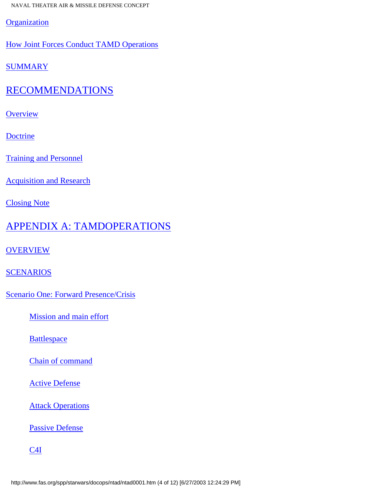**[Organization](http://www.fas.org/spp/starwars/docops/ntad/tamdnew2.htm#organ)** 

[How Joint Forces Conduct TAMD Operations](http://www.fas.org/spp/starwars/docops/ntad/tamdnew2.htm#howjoint)

**[SUMMARY](http://www.fas.org/spp/starwars/docops/ntad/tamdnew2.htm#summary1)** 

### [RECOMMENDATIONS](http://www.fas.org/spp/starwars/docops/ntad/tamdnew3.htm#recommendations)

**[Overview](http://www.fas.org/spp/starwars/docops/ntad/tamdnew3.htm#recoverview)** 

[Doctrine](http://www.fas.org/spp/starwars/docops/ntad/tamdnew3.htm#doctrine)

[Training and Personnel](http://www.fas.org/spp/starwars/docops/ntad/tamdnew3.htm#trapers)

[Acquisition and Research](http://www.fas.org/spp/starwars/docops/ntad/tamdnew3.htm#acqui)

[Closing Note](http://www.fas.org/spp/starwars/docops/ntad/tamdnew3.htm#closing)

#### [APPENDIX A: TAMDOPERATIONS](http://www.fas.org/spp/starwars/docops/ntad/tamdnew4.htm#_Toc386614704)

**[OVERVIEW](http://www.fas.org/spp/starwars/docops/ntad/tamdnew4.htm#appedaover)** 

[SCENARIOS](http://www.fas.org/spp/starwars/docops/ntad/tamdnew4.htm#scenario)

[Scenario One: Forward Presence/Crisis](http://www.fas.org/spp/starwars/docops/ntad/tamdnew4.htm#scenario1)

[Mission and main effort](http://www.fas.org/spp/starwars/docops/ntad/tamdnew4.htm#missmain)

**[Battlespace](http://www.fas.org/spp/starwars/docops/ntad/tamdnew4.htm#batspa)** 

[Chain of command](http://www.fas.org/spp/starwars/docops/ntad/tamdnew4.htm#chaincom)

[Active Defense](http://www.fas.org/spp/starwars/docops/ntad/tamdnew4.htm#activedef)

**[Attack Operations](http://www.fas.org/spp/starwars/docops/ntad/tamdnew4.htm#attackops)** 

[Passive Defense](http://www.fas.org/spp/starwars/docops/ntad/tamdnew4.htm#passivedef)

[C4I](http://www.fas.org/spp/starwars/docops/ntad/tamdnew4.htm#c4i)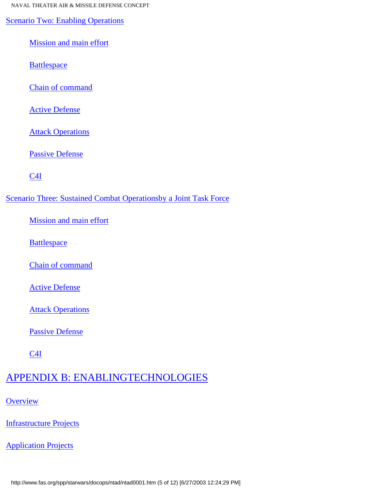[Scenario Two: Enabling Operations](http://www.fas.org/spp/starwars/docops/ntad/tamdnew4.htm#sceanario2)

[Mission and main effort](http://www.fas.org/spp/starwars/docops/ntad/tamdnew4.htm#sceanario2miss)

**[Battlespace](http://www.fas.org/spp/starwars/docops/ntad/tamdnew4.htm#sceanario2batt)** 

[Chain of command](http://www.fas.org/spp/starwars/docops/ntad/tamdnew4.htm#sceanario2chain)

[Active Defense](http://www.fas.org/spp/starwars/docops/ntad/tamdnew4.htm#sceanario2active)

**[Attack Operations](http://www.fas.org/spp/starwars/docops/ntad/tamdnew4.htm#sceanario2attack)** 

[Passive Defense](http://www.fas.org/spp/starwars/docops/ntad/tamdnew4.htm#sceanario2pass)

[C4I](http://www.fas.org/spp/starwars/docops/ntad/tamdnew4.htm#sceanario2c4i)

[Scenario Three: Sustained Combat Operationsby a Joint Task Force](http://www.fas.org/spp/starwars/docops/ntad/tamdnew4.htm#sceanario3)

[Mission and main effort](http://www.fas.org/spp/starwars/docops/ntad/tamdnew4.htm#sceanario3miss)

**[Battlespace](http://www.fas.org/spp/starwars/docops/ntad/tamdnew4.htm#sceanario3bat)** 

[Chain of command](http://www.fas.org/spp/starwars/docops/ntad/tamdnew4.htm#sceanario3chain)

[Active Defense](http://www.fas.org/spp/starwars/docops/ntad/tamdnew4.htm#sceanario3active)

[Attack Operations](http://www.fas.org/spp/starwars/docops/ntad/tamdnew4.htm#sceanario3attack)

[Passive Defense](http://www.fas.org/spp/starwars/docops/ntad/tamdnew4.htm#sceanario3pass)

[C4I](http://www.fas.org/spp/starwars/docops/ntad/tamdnew4.htm#sceanario3c4i)

### [APPENDIX B: ENABLINGTECHNOLOGIES](http://www.fas.org/spp/starwars/docops/ntad/tamdnew5.htm#_Toc386614732)

**[Overview](http://www.fas.org/spp/starwars/docops/ntad/tamdnew5.htm#appendbover)** 

[Infrastructure Projects](http://www.fas.org/spp/starwars/docops/ntad/tamdnew5.htm#appendbinfra)

**[Application Projects](http://www.fas.org/spp/starwars/docops/ntad/tamdnew5.htm#appendbapp)** 

http://www.fas.org/spp/starwars/docops/ntad/ntad0001.htm (5 of 12) [6/27/2003 12:24:29 PM]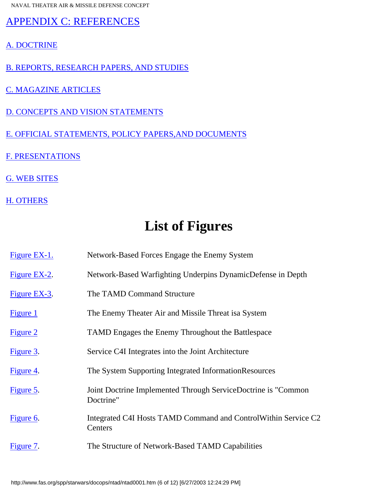[APPENDIX C: REFERENCES](http://www.fas.org/spp/starwars/docops/ntad/tamdnew6.htm#_Toc386614736)

- [A. DOCTRINE](http://www.fas.org/spp/starwars/docops/ntad/tamdnew6.htm#appendcdoc)
- [B. REPORTS, RESEARCH PAPERS, AND STUDIES](http://www.fas.org/spp/starwars/docops/ntad/tamdnew6.htm#appendcrep)
- [C. MAGAZINE ARTICLES](http://www.fas.org/spp/starwars/docops/ntad/tamdnew6.htm#appendcmag)
- [D. CONCEPTS AND VISION STATEMENTS](http://www.fas.org/spp/starwars/docops/ntad/tamdnew6.htm#appendcconc)
- [E. OFFICIAL STATEMENTS, POLICY PAPERS,AND DOCUMENTS](http://www.fas.org/spp/starwars/docops/ntad/tamdnew6.htm#appendcoff)
- [F. PRESENTATIONS](http://www.fas.org/spp/starwars/docops/ntad/tamdnew6.htm#appendcpres)
- [G. WEB SITES](http://www.fas.org/spp/starwars/docops/ntad/tamdnew6.htm#appendcweb)
- [H. OTHERS](http://www.fas.org/spp/starwars/docops/ntad/tamdnew6.htm#appendcother)

### **List of Figures**

| Figure EX-1. | Network-Based Forces Engage the Enemy System                                |
|--------------|-----------------------------------------------------------------------------|
| Figure EX-2. | Network-Based Warfighting Underpins DynamicDefense in Depth                 |
| Figure EX-3. | The TAMD Command Structure                                                  |
| Figure 1     | The Enemy Theater Air and Missile Threat is a System                        |
| Figure 2     | <b>TAMD</b> Engages the Enemy Throughout the Battlespace                    |
| Figure 3.    | Service C4I Integrates into the Joint Architecture                          |
| Figure 4.    | The System Supporting Integrated InformationResources                       |
| Figure 5.    | Joint Doctrine Implemented Through ServiceDoctrine is "Common"<br>Doctrine" |
| Figure 6.    | Integrated C4I Hosts TAMD Command and Control Within Service C2<br>Centers  |
| Figure 7.    | The Structure of Network-Based TAMD Capabilities                            |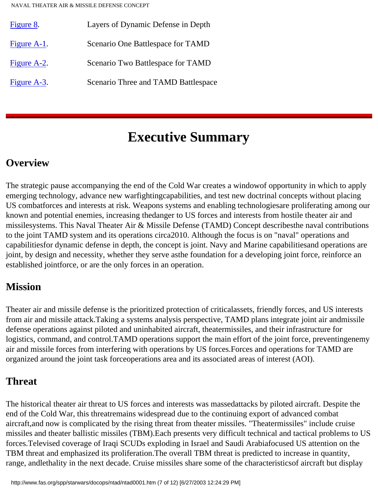| Figure 8.   | Layers of Dynamic Defense in Depth  |
|-------------|-------------------------------------|
| Figure A-1. | Scenario One Battlespace for TAMD   |
| Figure A-2. | Scenario Two Battlespace for TAMD   |
| Figure A-3. | Scenario Three and TAMD Battlespace |

### **Executive Summary**

### <span id="page-6-1"></span><span id="page-6-0"></span>**Overview**

The strategic pause accompanying the end of the Cold War creates a windowof opportunity in which to apply emerging technology, advance new warfightingcapabilities, and test new doctrinal concepts without placing US combatforces and interests at risk. Weapons systems and enabling technologiesare proliferating among our known and potential enemies, increasing thedanger to US forces and interests from hostile theater air and missilesystems. This Naval Theater Air & Missile Defense (TAMD) Concept describesthe naval contributions to the joint TAMD system and its operations circa2010. Although the focus is on "naval" operations and capabilitiesfor dynamic defense in depth, the concept is joint. Navy and Marine capabilitiesand operations are joint, by design and necessity, whether they serve asthe foundation for a developing joint force, reinforce an established jointforce, or are the only forces in an operation.

### <span id="page-6-2"></span>**Mission**

Theater air and missile defense is the prioritized protection of criticalassets, friendly forces, and US interests from air and missile attack.Taking a systems analysis perspective, TAMD plans integrate joint air andmissile defense operations against piloted and uninhabited aircraft, theatermissiles, and their infrastructure for logistics, command, and control.TAMD operations support the main effort of the joint force, preventingenemy air and missile forces from interfering with operations by US forces.Forces and operations for TAMD are organized around the joint task forceoperations area and its associated areas of interest (AOI).

### <span id="page-6-3"></span>**Threat**

The historical theater air threat to US forces and interests was massedattacks by piloted aircraft. Despite the end of the Cold War, this threatremains widespread due to the continuing export of advanced combat aircraft,and now is complicated by the rising threat from theater missiles. "Theatermissiles" include cruise missiles and theater ballistic missiles (TBM).Each presents very difficult technical and tactical problems to US forces.Televised coverage of Iraqi SCUDs exploding in Israel and Saudi Arabiafocused US attention on the TBM threat and emphasized its proliferation.The overall TBM threat is predicted to increase in quantity, range, andlethality in the next decade. Cruise missiles share some of the characteristicsof aircraft but display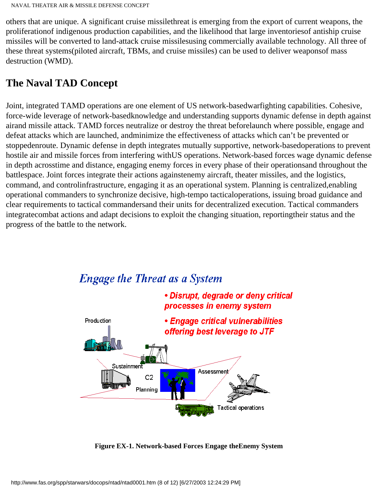others that are unique. A significant cruise missilethreat is emerging from the export of current weapons, the proliferationof indigenous production capabilities, and the likelihood that large inventoriesof antiship cruise missiles will be converted to land-attack cruise missilesusing commercially available technology. All three of these threat systems(piloted aircraft, TBMs, and cruise missiles) can be used to deliver weaponsof mass destruction (WMD).

### <span id="page-7-0"></span>**The Naval TAD Concept**

Joint, integrated TAMD operations are one element of US network-basedwarfighting capabilities. Cohesive, force-wide leverage of network-basedknowledge and understanding supports dynamic defense in depth against airand missile attack. TAMD forces neutralize or destroy the threat beforelaunch where possible, engage and defeat attacks which are launched, andminimize the effectiveness of attacks which can't be prevented or stoppedenroute. Dynamic defense in depth integrates mutually supportive, network-basedoperations to prevent hostile air and missile forces from interfering withUS operations. Network-based forces wage dynamic defense in depth acrosstime and distance, engaging enemy forces in every phase of their operationsand throughout the battlespace. Joint forces integrate their actions againstenemy aircraft, theater missiles, and the logistics, command, and controlinfrastructure, engaging it as an operational system. Planning is centralized,enabling operational commanders to synchronize decisive, high-tempo tacticaloperations, issuing broad guidance and clear requirements to tactical commandersand their units for decentralized execution. Tactical commanders integratecombat actions and adapt decisions to exploit the changing situation, reportingtheir status and the progress of the battle to the network.



#### **Figure EX-1. Network-based Forces Engage theEnemy System**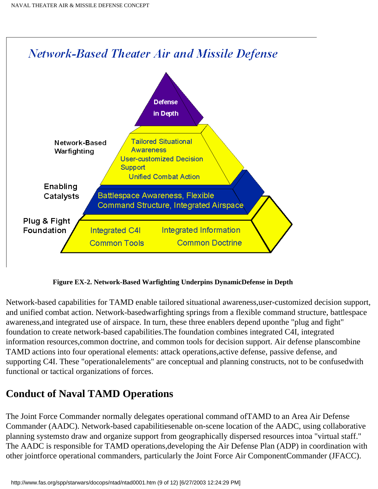

**Figure EX-2. Network-Based Warfighting Underpins DynamicDefense in Depth**

Network-based capabilities for TAMD enable tailored situational awareness,user-customized decision support, and unified combat action. Network-basedwarfighting springs from a flexible command structure, battlespace awareness,and integrated use of airspace. In turn, these three enablers depend uponthe "plug and fight" foundation to create network-based capabilities.The foundation combines integrated C4I, integrated information resources,common doctrine, and common tools for decision support. Air defense planscombine TAMD actions into four operational elements: attack operations,active defense, passive defense, and supporting C4I. These "operationalelements" are conceptual and planning constructs, not to be confusedwith functional or tactical organizations of forces.

### <span id="page-8-0"></span>**Conduct of Naval TAMD Operations**

The Joint Force Commander normally delegates operational command ofTAMD to an Area Air Defense Commander (AADC). Network-based capabilitiesenable on-scene location of the AADC, using collaborative planning systemsto draw and organize support from geographically dispersed resources intoa "virtual staff." The AADC is responsible for TAMD operations,developing the Air Defense Plan (ADP) in coordination with other jointforce operational commanders, particularly the Joint Force Air ComponentCommander (JFACC).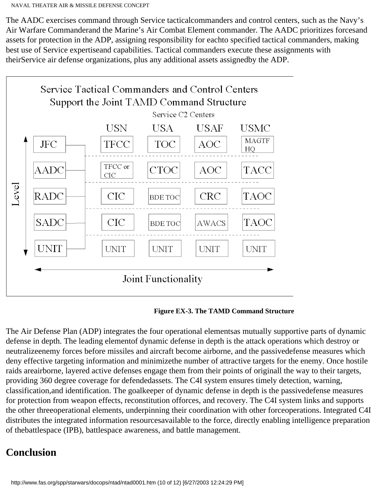The AADC exercises command through Service tacticalcommanders and control centers, such as the Navy's Air Warfare Commanderand the Marine's Air Combat Element commander. The AADC prioritizes forcesand assets for protection in the ADP, assigning responsibility for eachto specified tactical commanders, making best use of Service expertiseand capabilities. Tactical commanders execute these assignments with theirService air defense organizations, plus any additional assets assignedby the ADP.



**Figure EX-3. The TAMD Command Structure**

The Air Defense Plan (ADP) integrates the four operational elementsas mutually supportive parts of dynamic defense in depth. The leading elementof dynamic defense in depth is the attack operations which destroy or neutralizeenemy forces before missiles and aircraft become airborne, and the passivedefense measures which deny effective targeting information and minimizethe number of attractive targets for the enemy. Once hostile raids areairborne, layered active defenses engage them from their points of originall the way to their targets, providing 360 degree coverage for defendedassets. The C4I system ensures timely detection, warning, classification,and identification. The goalkeeper of dynamic defense in depth is the passivedefense measures for protection from weapon effects, reconstitution offorces, and recovery. The C4I system links and supports the other threeoperational elements, underpinning their coordination with other forceoperations. Integrated C4I distributes the integrated information resourcesavailable to the force, directly enabling intelligence preparation of thebattlespace (IPB), battlespace awareness, and battle management.

### <span id="page-9-0"></span>**Conclusion**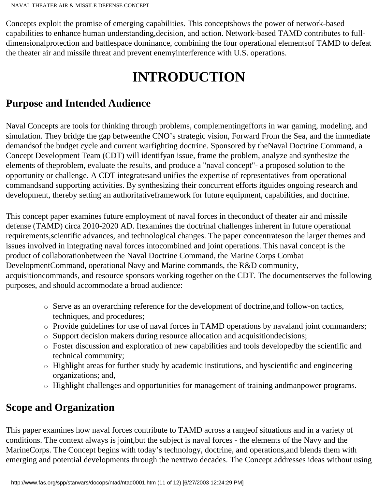<span id="page-10-0"></span>Concepts exploit the promise of emerging capabilities. This conceptshows the power of network-based capabilities to enhance human understanding,decision, and action. Network-based TAMD contributes to fulldimensionalprotection and battlespace dominance, combining the four operational elementsof TAMD to defeat the theater air and missile threat and prevent enemyinterference with U.S. operations.

## **INTRODUCTION**

### <span id="page-10-1"></span>**Purpose and Intended Audience**

Naval Concepts are tools for thinking through problems, complementingefforts in war gaming, modeling, and simulation. They bridge the gap betweenthe CNO's strategic vision, Forward From the Sea, and the immediate demandsof the budget cycle and current warfighting doctrine. Sponsored by theNaval Doctrine Command, a Concept Development Team (CDT) will identifyan issue, frame the problem, analyze and synthesize the elements of theproblem, evaluate the results, and produce a "naval concept"- a proposed solution to the opportunity or challenge. A CDT integratesand unifies the expertise of representatives from operational commandsand supporting activities. By synthesizing their concurrent efforts itguides ongoing research and development, thereby setting an authoritativeframework for future equipment, capabilities, and doctrine.

This concept paper examines future employment of naval forces in theconduct of theater air and missile defense (TAMD) circa 2010-2020 AD. Itexamines the doctrinal challenges inherent in future operational requirements,scientific advances, and technological changes. The paper concentrateson the larger themes and issues involved in integrating naval forces intocombined and joint operations. This naval concept is the product of collaborationbetween the Naval Doctrine Command, the Marine Corps Combat DevelopmentCommand, operational Navy and Marine commands, the R&D community, acquisitioncommands, and resource sponsors working together on the CDT. The documentserves the following purposes, and should accommodate a broad audience:

- ❍ Serve as an overarching reference for the development of doctrine,and follow-on tactics, techniques, and procedures;
- ❍ Provide guidelines for use of naval forces in TAMD operations by navaland joint commanders;
- ❍ Support decision makers during resource allocation and acquisitiondecisions;
- ❍ Foster discussion and exploration of new capabilities and tools developedby the scientific and technical community;
- ❍ Highlight areas for further study by academic institutions, and byscientific and engineering organizations; and,
- ❍ Highlight challenges and opportunities for management of training andmanpower programs.

### <span id="page-10-2"></span>**Scope and Organization**

This paper examines how naval forces contribute to TAMD across a rangeof situations and in a variety of conditions. The context always is joint,but the subject is naval forces - the elements of the Navy and the MarineCorps. The Concept begins with today's technology, doctrine, and operations,and blends them with emerging and potential developments through the nexttwo decades. The Concept addresses ideas without using